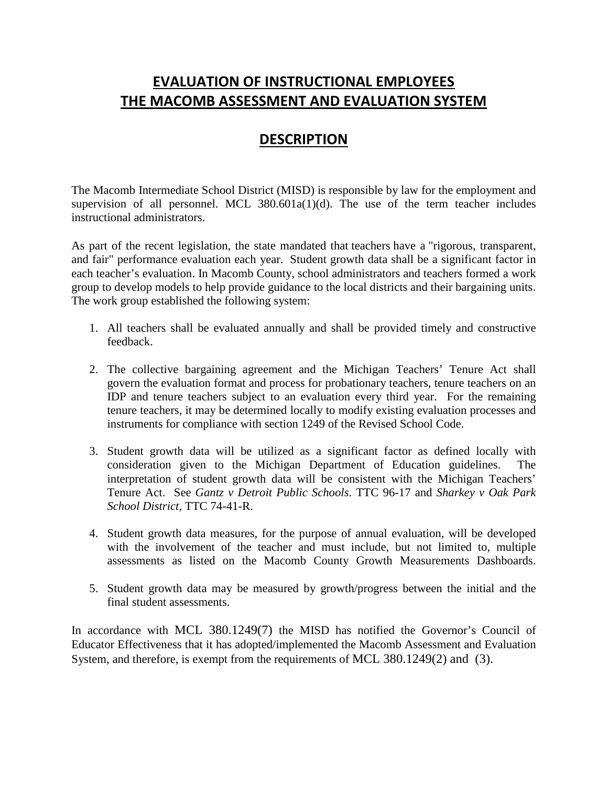## **EVALUATION OF INSTRUCTIONAL EMPLOYEES THE MACOMB ASSESSMENT AND EVALUATION SYSTEM**

## **DESCRIPTION**

The Macomb Intermediate School District (MISD) is responsible by law for the employment and supervision of all personnel. MCL  $380.601a(1)(d)$ . The use of the term teacher includes instructional administrators.

As part of the recent legislation, the state mandated that teachers have a "rigorous, transparent, and fair" performance evaluation each year. Student growth data shall be a significant factor in each teacher's evaluation. In Macomb County, school administrators and teachers formed a work group to develop models to help provide guidance to the local districts and their bargaining units. The work group established the following system:

- 1. All teachers shall be evaluated annually and shall be provided timely and constructive feedback.
- 2. The collective bargaining agreement and the Michigan Teachers' Tenure Act shall govern the evaluation format and process for probationary teachers, tenure teachers on an IDP and tenure teachers subject to an evaluation every third year. For the remaining tenure teachers, it may be determined locally to modify existing evaluation processes and instruments for compliance with section 1249 of the Revised School Code.
- 3. Student growth data will be utilized as a significant factor as defined locally with consideration given to the Michigan Department of Education guidelines. The interpretation of student growth data will be consistent with the Michigan Teachers' Tenure Act. See *Gantz v Detroit Public Schools*. TTC 96-17 and *Sharkey v Oak Park School District,* TTC 74-41-R.
- 4. Student growth data measures, for the purpose of annual evaluation, will be developed with the involvement of the teacher and must include, but not limited to, multiple assessments as listed on the Macomb County Growth Measurements Dashboards.
- 5. Student growth data may be measured by growth/progress between the initial and the final student assessments.

In accordance with MCL 380.1249(7) the MISD has notified the Governor's Council of Educator Effectiveness that it has adopted/implemented the Macomb Assessment and Evaluation System, and therefore, is exempt from the requirements of MCL 380.1249(2) and (3).